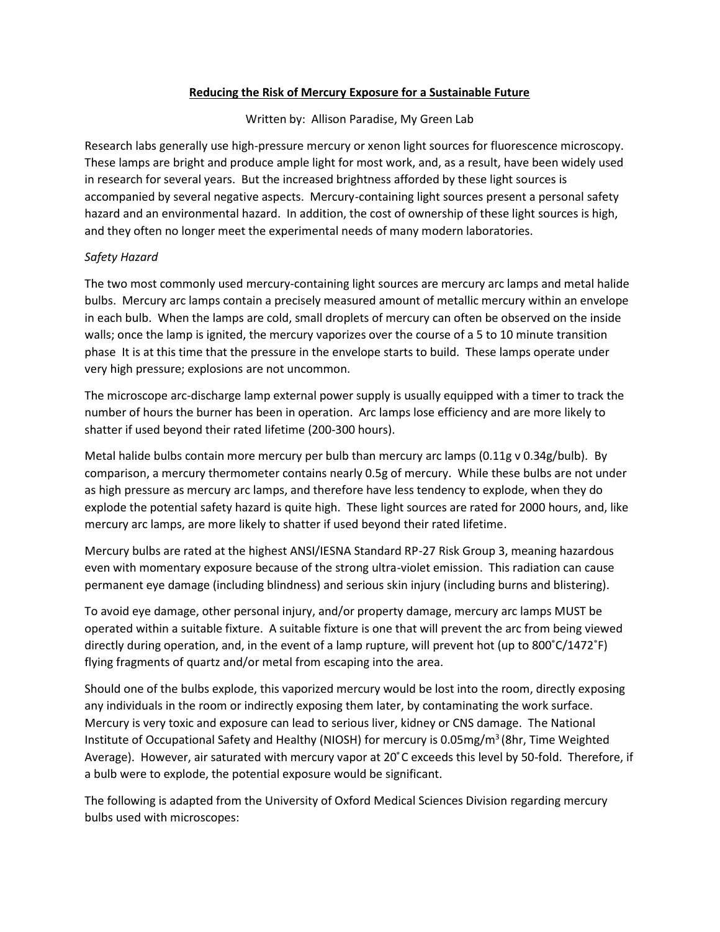## **Reducing the Risk of Mercury Exposure for a Sustainable Future**

Written by: Allison Paradise, My Green Lab

Research labs generally use high-pressure mercury or xenon light sources for fluorescence microscopy. These lamps are bright and produce ample light for most work, and, as a result, have been widely used in research for several years. But the increased brightness afforded by these light sources is accompanied by several negative aspects. Mercury-containing light sources present a personal safety hazard and an environmental hazard. In addition, the cost of ownership of these light sources is high, and they often no longer meet the experimental needs of many modern laboratories.

## *Safety Hazard*

The two most commonly used mercury-containing light sources are mercury arc lamps and metal halide bulbs. Mercury arc lamps contain a precisely measured amount of metallic mercury within an envelope in each bulb. When the lamps are cold, small droplets of mercury can often be observed on the inside walls; once the lamp is ignited, the mercury vaporizes over the course of a 5 to 10 minute transition phase It is at this time that the pressure in the envelope starts to build. These lamps operate under very high pressure; explosions are not uncommon.

The microscope arc-discharge lamp external power supply is usually equipped with a timer to track the number of hours the burner has been in operation. Arc lamps lose efficiency and are more likely to shatter if used beyond their rated lifetime (200-300 hours).

Metal halide bulbs contain more mercury per bulb than mercury arc lamps (0.11g v 0.34g/bulb). By comparison, a mercury thermometer contains nearly 0.5g of mercury. While these bulbs are not under as high pressure as mercury arc lamps, and therefore have less tendency to explode, when they do explode the potential safety hazard is quite high. These light sources are rated for 2000 hours, and, like mercury arc lamps, are more likely to shatter if used beyond their rated lifetime.

Mercury bulbs are rated at the highest ANSI/IESNA Standard RP-27 Risk Group 3, meaning hazardous even with momentary exposure because of the strong ultra-violet emission. This radiation can cause permanent eye damage (including blindness) and serious skin injury (including burns and blistering).

To avoid eye damage, other personal injury, and/or property damage, mercury arc lamps MUST be operated within a suitable fixture. A suitable fixture is one that will prevent the arc from being viewed directly during operation, and, in the event of a lamp rupture, will prevent hot (up to 800˚C/1472˚F) flying fragments of quartz and/or metal from escaping into the area.

Should one of the bulbs explode, this vaporized mercury would be lost into the room, directly exposing any individuals in the room or indirectly exposing them later, by contaminating the work surface. Mercury is very toxic and exposure can lead to serious liver, kidney or CNS damage. The National Institute of Occupational Safety and Healthy (NIOSH) for mercury is 0.05mg/m<sup>3</sup> (8hr, Time Weighted Average). However, air saturated with mercury vapor at 20˚C exceeds this level by 50-fold. Therefore, if a bulb were to explode, the potential exposure would be significant.

The following is adapted from the University of Oxford Medical Sciences Division regarding mercury bulbs used with microscopes: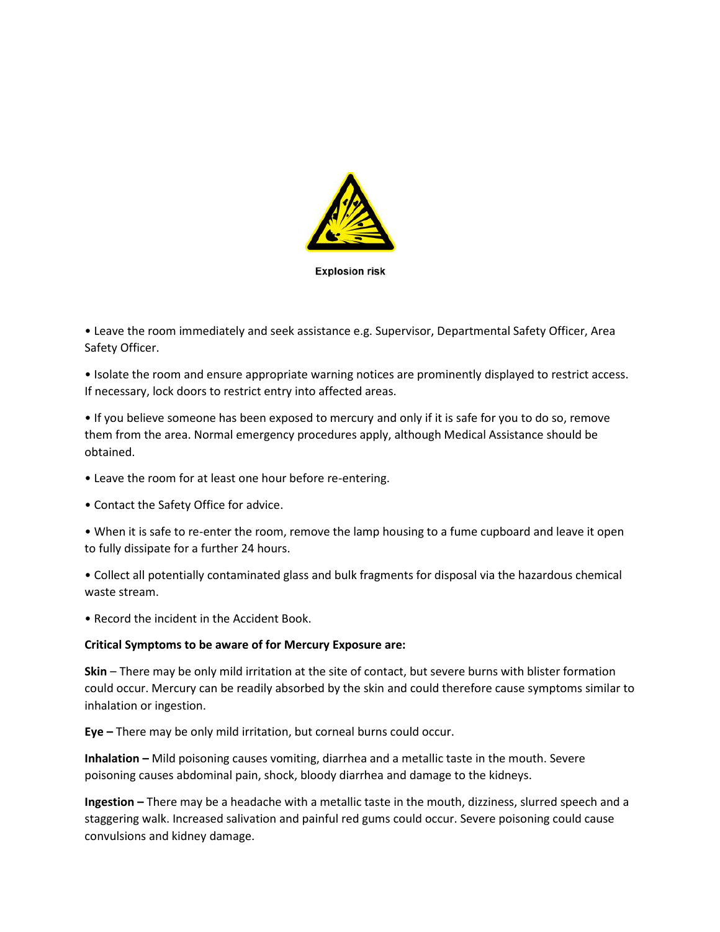

**Explosion risk** 

• Leave the room immediately and seek assistance e.g. Supervisor, Departmental Safety Officer, Area Safety Officer.

• Isolate the room and ensure appropriate warning notices are prominently displayed to restrict access. If necessary, lock doors to restrict entry into affected areas.

• If you believe someone has been exposed to mercury and only if it is safe for you to do so, remove them from the area. Normal emergency procedures apply, although Medical Assistance should be obtained.

- Leave the room for at least one hour before re-entering.
- Contact the Safety Office for advice.

• When it is safe to re-enter the room, remove the lamp housing to a fume cupboard and leave it open to fully dissipate for a further 24 hours.

• Collect all potentially contaminated glass and bulk fragments for disposal via the hazardous chemical waste stream.

• Record the incident in the Accident Book.

#### **Critical Symptoms to be aware of for Mercury Exposure are:**

**Skin** – There may be only mild irritation at the site of contact, but severe burns with blister formation could occur. Mercury can be readily absorbed by the skin and could therefore cause symptoms similar to inhalation or ingestion.

**Eye –** There may be only mild irritation, but corneal burns could occur.

**Inhalation –** Mild poisoning causes vomiting, diarrhea and a metallic taste in the mouth. Severe poisoning causes abdominal pain, shock, bloody diarrhea and damage to the kidneys.

**Ingestion –** There may be a headache with a metallic taste in the mouth, dizziness, slurred speech and a staggering walk. Increased salivation and painful red gums could occur. Severe poisoning could cause convulsions and kidney damage.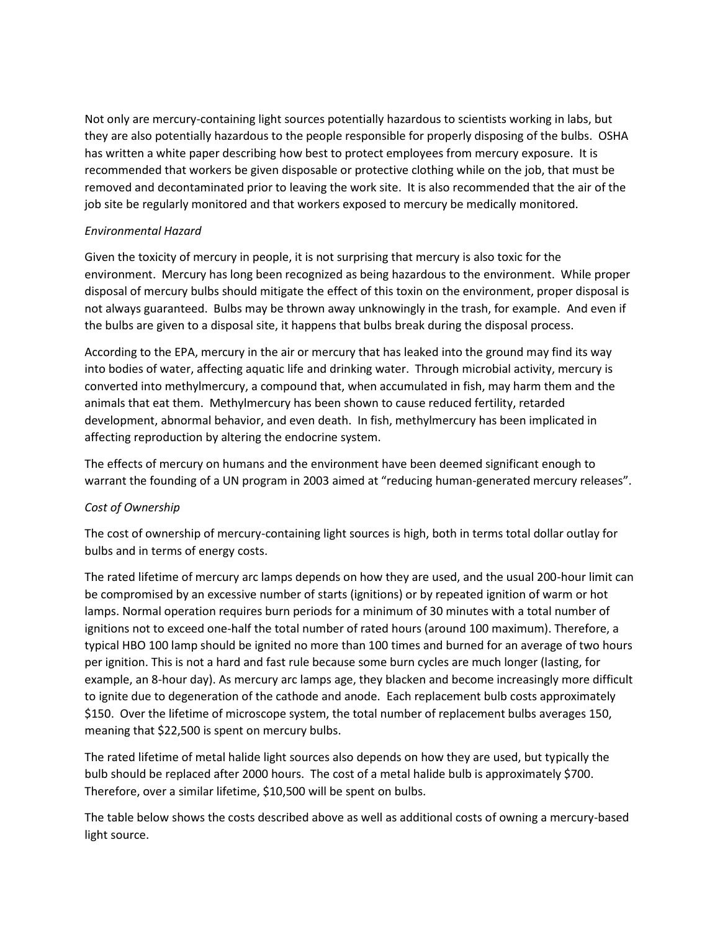Not only are mercury-containing light sources potentially hazardous to scientists working in labs, but they are also potentially hazardous to the people responsible for properly disposing of the bulbs. OSHA has written a white paper describing how best to protect employees from mercury exposure. It is recommended that workers be given disposable or protective clothing while on the job, that must be removed and decontaminated prior to leaving the work site. It is also recommended that the air of the job site be regularly monitored and that workers exposed to mercury be medically monitored.

## *Environmental Hazard*

Given the toxicity of mercury in people, it is not surprising that mercury is also toxic for the environment. Mercury has long been recognized as being hazardous to the environment. While proper disposal of mercury bulbs should mitigate the effect of this toxin on the environment, proper disposal is not always guaranteed. Bulbs may be thrown away unknowingly in the trash, for example. And even if the bulbs are given to a disposal site, it happens that bulbs break during the disposal process.

According to the EPA, mercury in the air or mercury that has leaked into the ground may find its way into bodies of water, affecting aquatic life and drinking water. Through microbial activity, mercury is converted into methylmercury, a compound that, when accumulated in fish, may harm them and the animals that eat them. Methylmercury has been shown to cause reduced fertility, retarded development, abnormal behavior, and even death. In fish, methylmercury has been implicated in affecting reproduction by altering the endocrine system.

The effects of mercury on humans and the environment have been deemed significant enough to warrant the founding of a UN program in 2003 aimed at "reducing human-generated mercury releases".

# *Cost of Ownership*

The cost of ownership of mercury-containing light sources is high, both in terms total dollar outlay for bulbs and in terms of energy costs.

The rated lifetime of mercury arc lamps depends on how they are used, and the usual 200-hour limit can be compromised by an excessive number of starts (ignitions) or by repeated ignition of warm or hot lamps. Normal operation requires burn periods for a minimum of 30 minutes with a total number of ignitions not to exceed one-half the total number of rated hours (around 100 maximum). Therefore, a typical HBO 100 lamp should be ignited no more than 100 times and burned for an average of two hours per ignition. This is not a hard and fast rule because some burn cycles are much longer (lasting, for example, an 8-hour day). As mercury arc lamps age, they blacken and become increasingly more difficult to ignite due to degeneration of the cathode and anode. Each replacement bulb costs approximately \$150. Over the lifetime of microscope system, the total number of replacement bulbs averages 150, meaning that \$22,500 is spent on mercury bulbs.

The rated lifetime of metal halide light sources also depends on how they are used, but typically the bulb should be replaced after 2000 hours. The cost of a metal halide bulb is approximately \$700. Therefore, over a similar lifetime, \$10,500 will be spent on bulbs.

The table below shows the costs described above as well as additional costs of owning a mercury-based light source.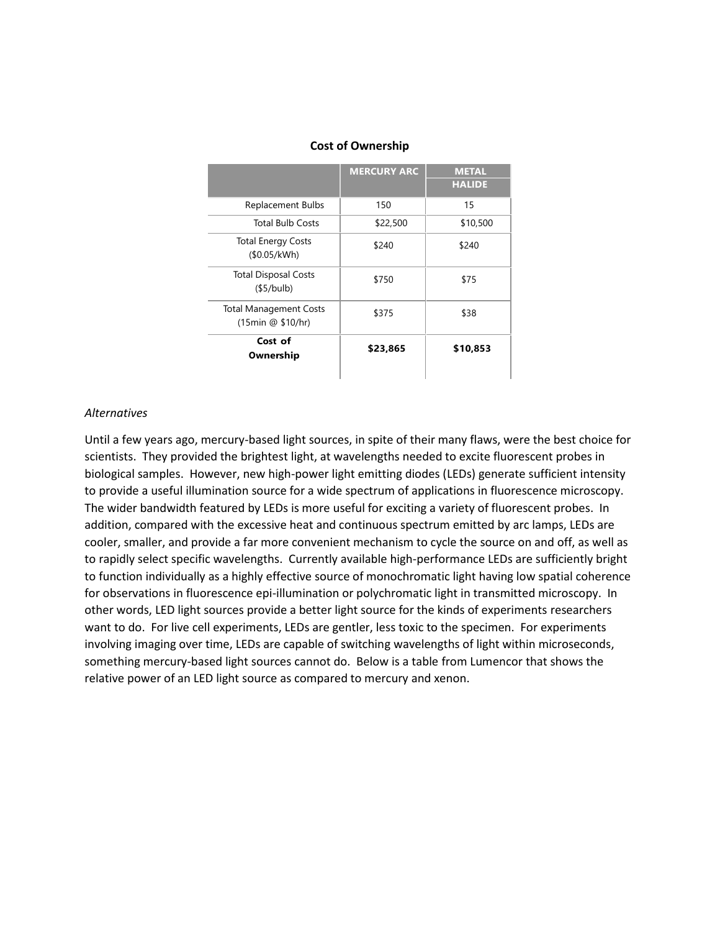|                                                    | <b>MERCURY ARC</b> | <b>METAL</b><br><b>HALIDE</b> |
|----------------------------------------------------|--------------------|-------------------------------|
| <b>Replacement Bulbs</b>                           | 150                | 15                            |
| <b>Total Bulb Costs</b>                            | \$22,500           | \$10,500                      |
| <b>Total Energy Costs</b><br>(\$0.05/kWh)          | \$240              | \$240                         |
| <b>Total Disposal Costs</b><br>(§5/bulb)           | \$750              | \$75                          |
| <b>Total Management Costs</b><br>(15min @ \$10/hr) | \$375              | \$38                          |
| Cost of<br>Ownership                               | \$23,865           | \$10,853                      |

### **Cost of Ownership**

#### *Alternatives*

Until a few years ago, mercury-based light sources, in spite of their many flaws, were the best choice for scientists. They provided the brightest light, at wavelengths needed to excite fluorescent probes in biological samples. However, new high-power light emitting diodes (LEDs) generate sufficient intensity to provide a useful illumination source for a wide spectrum of applications in fluorescence microscopy. The wider bandwidth featured by LEDs is more useful for exciting a variety of fluorescent probes. In addition, compared with the excessive heat and continuous spectrum emitted by arc lamps, LEDs are cooler, smaller, and provide a far more convenient mechanism to cycle the source on and off, as well as to rapidly select specific wavelengths. Currently available high-performance LEDs are sufficiently bright to function individually as a highly effective source of monochromatic light having low spatial coherence for observations in fluorescence epi-illumination or polychromatic light in transmitted microscopy. In other words, LED light sources provide a better light source for the kinds of experiments researchers want to do. For live cell experiments, LEDs are gentler, less toxic to the specimen. For experiments involving imaging over time, LEDs are capable of switching wavelengths of light within microseconds, something mercury-based light sources cannot do. Below is a table from Lumencor that shows the relative power of an LED light source as compared to mercury and xenon.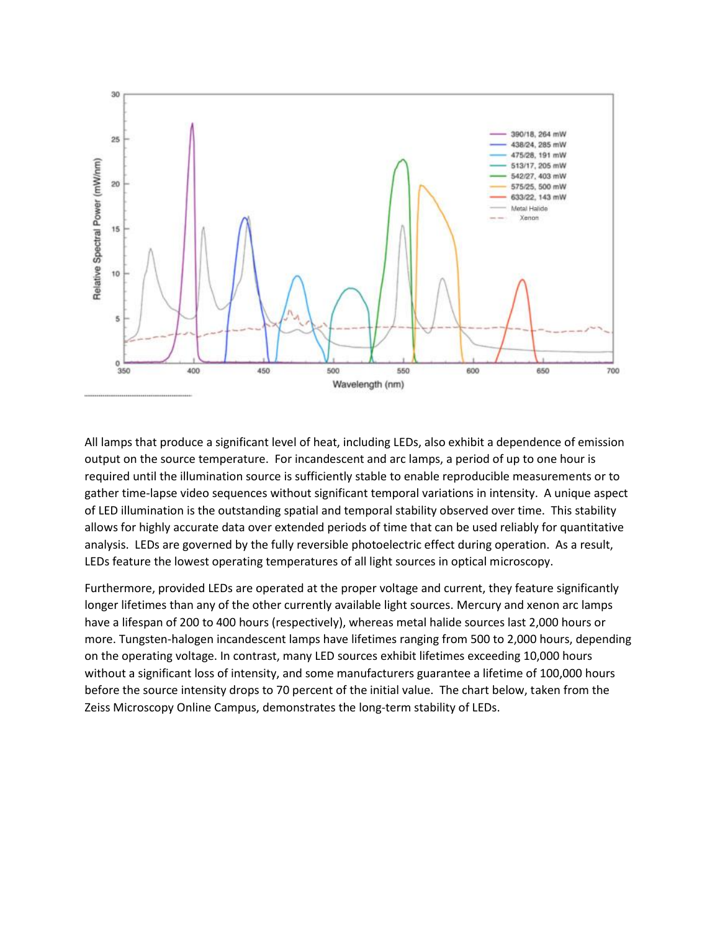

All lamps that produce a significant level of heat, including LEDs, also exhibit a dependence of emission output on the source temperature. For incandescent and arc lamps, a period of up to one hour is required until the illumination source is sufficiently stable to enable reproducible measurements or to gather time-lapse video sequences without significant temporal variations in intensity. A unique aspect of LED illumination is the outstanding spatial and temporal stability observed over time. This stability allows for highly accurate data over extended periods of time that can be used reliably for quantitative analysis. LEDs are governed by the fully reversible photoelectric effect during operation. As a result, LEDs feature the lowest operating temperatures of all light sources in optical microscopy.

Furthermore, provided LEDs are operated at the proper voltage and current, they feature significantly longer lifetimes than any of the other currently available light sources. Mercury and xenon arc lamps have a lifespan of 200 to 400 hours (respectively), whereas metal halide sources last 2,000 hours or more. Tungsten-halogen incandescent lamps have lifetimes ranging from 500 to 2,000 hours, depending on the operating voltage. In contrast, many LED sources exhibit lifetimes exceeding 10,000 hours without a significant loss of intensity, and some manufacturers guarantee a lifetime of 100,000 hours before the source intensity drops to 70 percent of the initial value. The chart below, taken from the Zeiss Microscopy Online Campus, demonstrates the long-term stability of LEDs.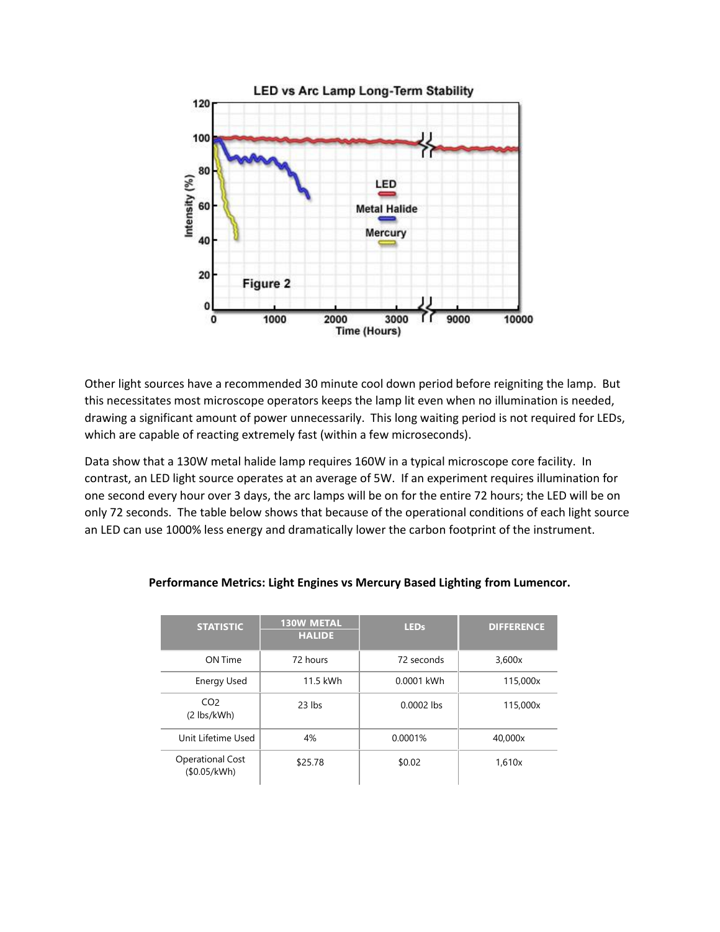

Other light sources have a recommended 30 minute cool down period before reigniting the lamp. But this necessitates most microscope operators keeps the lamp lit even when no illumination is needed, drawing a significant amount of power unnecessarily. This long waiting period is not required for LEDs, which are capable of reacting extremely fast (within a few microseconds).

Data show that a 130W metal halide lamp requires 160W in a typical microscope core facility. In contrast, an LED light source operates at an average of 5W. If an experiment requires illumination for one second every hour over 3 days, the arc lamps will be on for the entire 72 hours; the LED will be on only 72 seconds. The table below shows that because of the operational conditions of each light source an LED can use 1000% less energy and dramatically lower the carbon footprint of the instrument.

| <b>STATISTIC</b>                        | <b>130W METAL</b><br><b>HALIDE</b> | <b>LEDs</b>  | <b>DIFFERENCE</b> |
|-----------------------------------------|------------------------------------|--------------|-------------------|
| ON Time                                 | 72 hours                           | 72 seconds   | 3,600x            |
| Energy Used                             | 11.5 kWh                           | 0.0001 kWh   | 115,000x          |
| CO <sub>2</sub><br>$(2$ lbs/kWh)        | $23$ lbs                           | $0.0002$ lbs | 115,000x          |
| Unit Lifetime Used                      | 4%                                 | 0.0001%      | 40.000x           |
| <b>Operational Cost</b><br>(\$0.05/kWh) | \$25.78                            | \$0.02       | 1,610x            |

### **Performance Metrics: Light Engines vs Mercury Based Lighting from Lumencor.**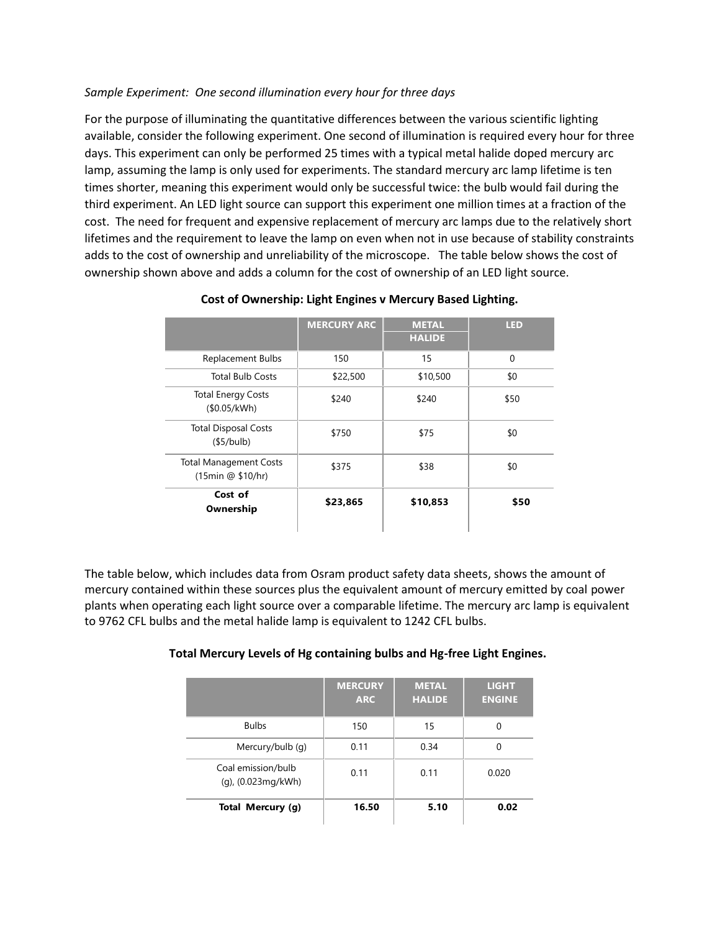## *Sample Experiment: One second illumination every hour for three days*

For the purpose of illuminating the quantitative differences between the various scientific lighting available, consider the following experiment. One second of illumination is required every hour for three days. This experiment can only be performed 25 times with a typical metal halide doped mercury arc lamp, assuming the lamp is only used for experiments. The standard mercury arc lamp lifetime is ten times shorter, meaning this experiment would only be successful twice: the bulb would fail during the third experiment. An LED light source can support this experiment one million times at a fraction of the cost. The need for frequent and expensive replacement of mercury arc lamps due to the relatively short lifetimes and the requirement to leave the lamp on even when not in use because of stability constraints adds to the cost of ownership and unreliability of the microscope. The table below shows the cost of ownership shown above and adds a column for the cost of ownership of an LED light source.

|                                                    | <b>MERCURY ARC</b> | <b>METAL</b><br><b>HALIDE</b> | <b>LED</b> |
|----------------------------------------------------|--------------------|-------------------------------|------------|
| <b>Replacement Bulbs</b>                           | 150                | 15                            | $\Omega$   |
| <b>Total Bulb Costs</b>                            | \$22,500           | \$10,500                      | \$0        |
| <b>Total Energy Costs</b><br>(\$0.05/kWh)          | \$240              | \$240                         | \$50       |
| <b>Total Disposal Costs</b><br>(§5/bulb)           | \$750              | \$75                          | \$0        |
| <b>Total Management Costs</b><br>(15min @ \$10/hr) | \$375              | \$38                          | \$0        |
| Cost of<br>Ownership                               | \$23,865           | \$10,853                      | \$50       |

## **Cost of Ownership: Light Engines v Mercury Based Lighting.**

The table below, which includes data from Osram product safety data sheets, shows the amount of mercury contained within these sources plus the equivalent amount of mercury emitted by coal power plants when operating each light source over a comparable lifetime. The mercury arc lamp is equivalent to 9762 CFL bulbs and the metal halide lamp is equivalent to 1242 CFL bulbs.

### **Total Mercury Levels of Hg containing bulbs and Hg-free Light Engines.**

|                                          | <b>MERCURY</b><br><b>ARC</b> | <b>METAL</b><br><b>HALIDE</b> | <b>LIGHT</b><br><b>ENGINE</b> |
|------------------------------------------|------------------------------|-------------------------------|-------------------------------|
| <b>Bulbs</b>                             | 150                          | 15                            | 0                             |
| Mercury/bulb (q)                         | 0.11                         | 0.34                          | 0                             |
| Coal emission/bulb<br>(g), (0.023mg/kWh) | 0.11                         | 0.11                          | 0.020                         |
| Total Mercury (g)                        | 16.50                        | 5.10                          | 0.02                          |